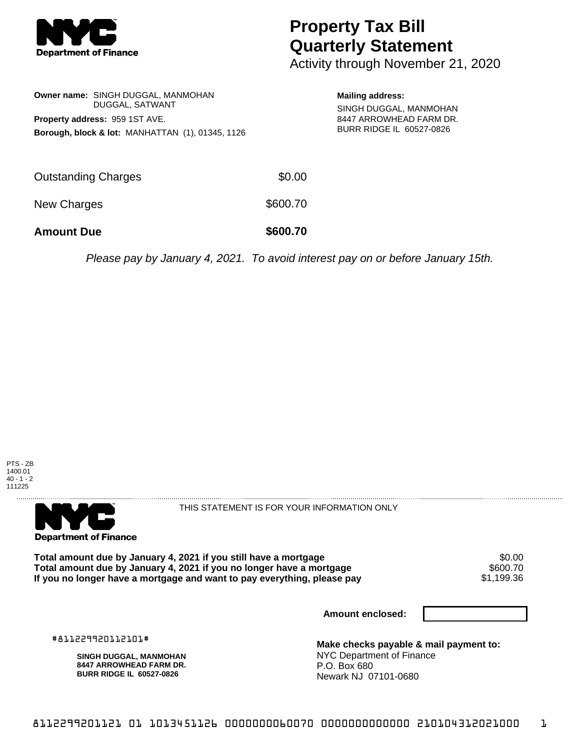

## **Property Tax Bill Quarterly Statement**

Activity through November 21, 2020

| <b>Owner name: SINGH DUGGAL, MANMOHAN</b>                                                     |                 | <b>Mailing address:</b> |  |
|-----------------------------------------------------------------------------------------------|-----------------|-------------------------|--|
| Property address: 959 1ST AVE.<br><b>Borough, block &amp; lot: MANHATTAN (1), 01345, 1126</b> | DUGGAL, SATWANT |                         |  |
| <b>Outstanding Charges</b>                                                                    | \$0.00          |                         |  |
| New Charges                                                                                   | \$600.70        |                         |  |

**Amount Due \$600.70**

Please pay by January 4, 2021. To avoid interest pay on or before January 15th.





THIS STATEMENT IS FOR YOUR INFORMATION ONLY

Total amount due by January 4, 2021 if you still have a mortgage  $$0.00$ <br>Total amount due by January 4, 2021 if you no longer have a mortgage  $$600.70$ Total amount due by January 4, 2021 if you no longer have a mortgage \$600.70<br>If you no longer have a mortgage and want to pay everything, please pay \$1,199.36 If you no longer have a mortgage and want to pay everything, please pay

**Amount enclosed:**

#811229920112101#

**SINGH DUGGAL, MANMOHAN 8447 ARROWHEAD FARM DR. BURR RIDGE IL 60527-0826**

**Make checks payable & mail payment to:** NYC Department of Finance P.O. Box 680 Newark NJ 07101-0680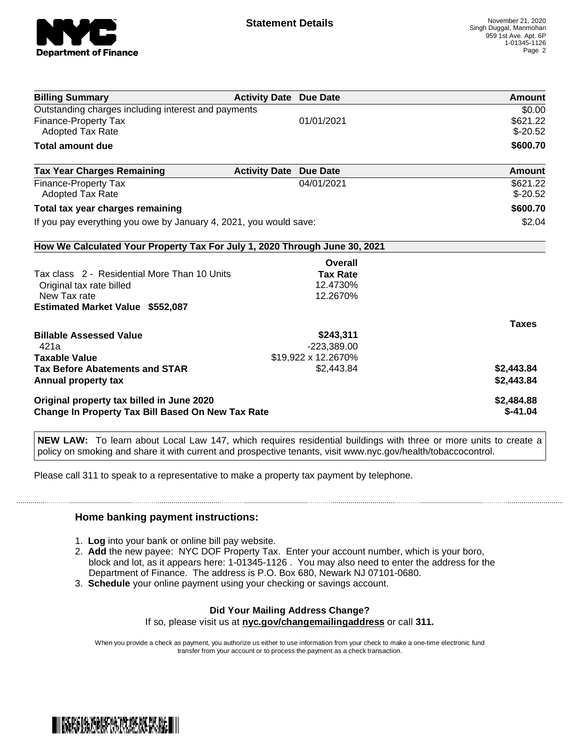

| <b>Billing Summary</b>                                                     | <b>Activity Date Due Date</b>           | Amount       |
|----------------------------------------------------------------------------|-----------------------------------------|--------------|
| Outstanding charges including interest and payments                        |                                         | \$0.00       |
| <b>Finance-Property Tax</b>                                                | 01/01/2021                              | \$621.22     |
| <b>Adopted Tax Rate</b>                                                    |                                         | $$-20.52$    |
| <b>Total amount due</b>                                                    |                                         | \$600.70     |
| <b>Tax Year Charges Remaining</b>                                          | <b>Activity Date</b><br><b>Due Date</b> | Amount       |
| Finance-Property Tax                                                       | 04/01/2021                              | \$621.22     |
| <b>Adopted Tax Rate</b>                                                    |                                         | $$-20.52$    |
| Total tax year charges remaining                                           |                                         | \$600.70     |
| If you pay everything you owe by January 4, 2021, you would save:          | \$2.04                                  |              |
| How We Calculated Your Property Tax For July 1, 2020 Through June 30, 2021 |                                         |              |
|                                                                            | Overall                                 |              |
| Tax class 2 - Residential More Than 10 Units                               | <b>Tax Rate</b>                         |              |
| Original tax rate billed                                                   | 12.4730%                                |              |
| New Tax rate                                                               | 12.2670%                                |              |
| <b>Estimated Market Value \$552,087</b>                                    |                                         |              |
|                                                                            |                                         | <b>Taxes</b> |
| <b>Billable Assessed Value</b>                                             | \$243,311                               |              |
| 421a                                                                       | $-223,389.00$                           |              |
| <b>Taxable Value</b>                                                       | \$19,922 x 12.2670%                     |              |
| <b>Tax Before Abatements and STAR</b>                                      | \$2,443.84                              | \$2,443.84   |
| Annual property tax                                                        |                                         | \$2,443.84   |
| Original property tax billed in June 2020                                  |                                         | \$2,484.88   |
| <b>Change In Property Tax Bill Based On New Tax Rate</b>                   | $$-41.04$                               |              |

**NEW LAW:** To learn about Local Law 147, which requires residential buildings with three or more units to create a policy on smoking and share it with current and prospective tenants, visit www.nyc.gov/health/tobaccocontrol.

Please call 311 to speak to a representative to make a property tax payment by telephone.

## **Home banking payment instructions:**

- 1. **Log** into your bank or online bill pay website.
- 2. **Add** the new payee: NYC DOF Property Tax. Enter your account number, which is your boro, block and lot, as it appears here: 1-01345-1126 . You may also need to enter the address for the Department of Finance. The address is P.O. Box 680, Newark NJ 07101-0680.
- 3. **Schedule** your online payment using your checking or savings account.

## **Did Your Mailing Address Change?**

If so, please visit us at **nyc.gov/changemailingaddress** or call **311.**

When you provide a check as payment, you authorize us either to use information from your check to make a one-time electronic fund transfer from your account or to process the payment as a check transaction.